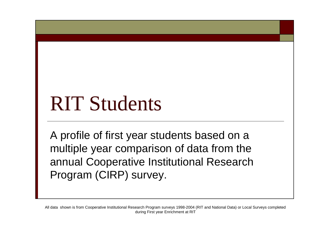# RIT Students

A profile of first year students based on a multiple year comparison of data from the annual Cooperative Institutional Research Program (CIRP) survey.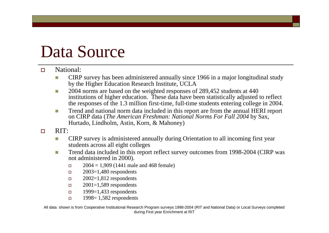# Data Source

#### $\square$  National:

- CIRP survey has been administered annually since 1966 in a major longitudinal study by the Higher Education Research Institute, UCLA
- 2004 norms are based on the weighted responses of 289,452 students at 440 institutions of higher education. These data have been statistically adjusted to reflect the responses of the 1.3 million first-time, full-time students entering college in 2004.
- Trend and national norm data included in this report are from the annual HERI report on CIRP data (*The American Freshman: National Norms For Fall 2004* by Sax, Hurtado, Lindholm, Astin, Korn, & Mahoney)
- $\Box$  RIT:
	- **CIRP** survey is administered annually during Orientation to all incoming first year students across all eight colleges
	- Trend data included in this report reflect survey outcomes from 1998-2004 (CIRP was not administered in 2000).
		- $\Box$  2004 = 1,909 (1441 male and 468 female)
		- $\Box$  2003=1,480 respondents
		- $\Box$  2002=1,812 respondents
		- $\Box$  2001=1,589 respondents
		- $1999=1,433$  respondents
		- $1998 = 1,582$  respondents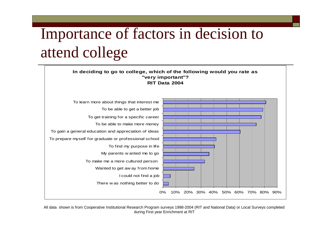# Importance of factors in decision to attend college

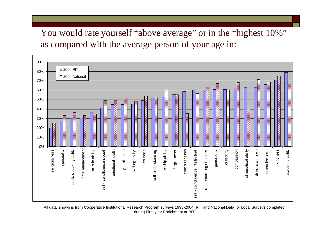You would rate yourself "above average" or in the "highest  $10\%$ " as compared with the average person of your age in:

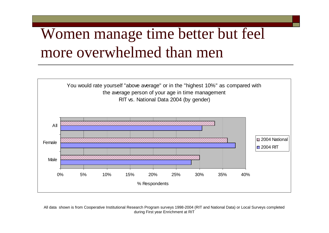#### Women manage time better but feel more overwhelmed than men

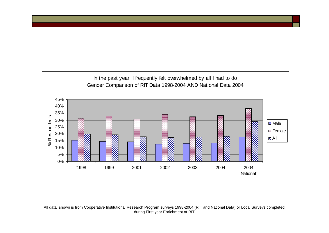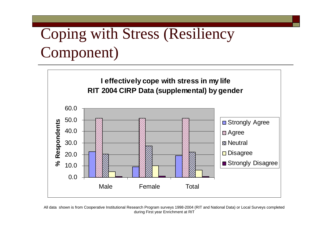# Coping with Stress (Resiliency Component)



All data shown is from Cooperative Institutional Research Program surveys 1998-2004 (RIT and National Data) or Local Surveys completed during First year Enrichment at RIT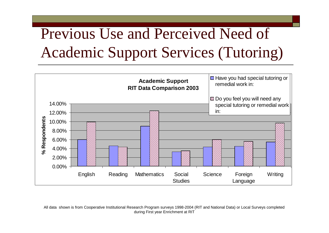# Previous Use and Perceived Need of Academic Support Services (Tutoring)

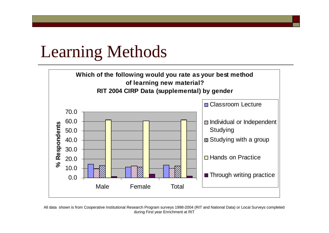#### Learning Methods



All data shown is from Cooperative Institutional Research Program surveys 1998-2004 (RIT and National Data) or Local Surveys completed during First year Enrichment at RIT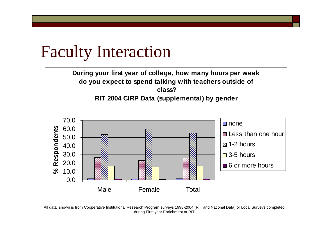#### Faculty Interaction

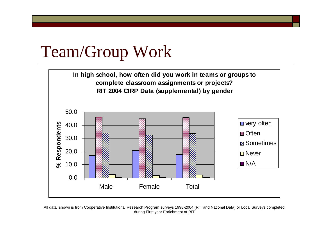#### Team/Group Work



All data shown is from Cooperative Institutional Research Program surveys 1998-2004 (RIT and National Data) or Local Surveys completed during First year Enrichment at RIT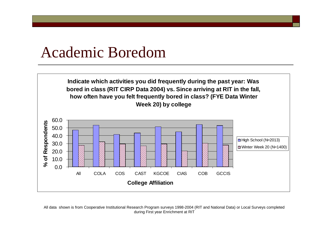#### Academic Boredom



All data shown is from Cooperative Institutional Research Program surveys 1998-2004 (RIT and National Data) or Local Surveys completed during First year Enrichment at RIT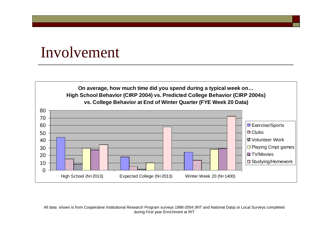#### Involvement

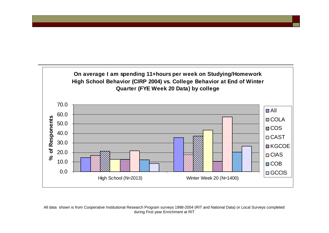![](_page_13_Figure_0.jpeg)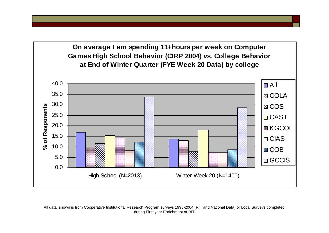**On average I am spending 11+hours per week on Computer Games High School Behavior (CIRP 2004) vs. College Behavior at End of Winter Quarter (FYE Week 20 Data) by college**

![](_page_14_Figure_1.jpeg)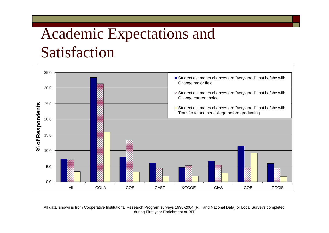### Academic Expectations and Satisfaction

![](_page_15_Figure_1.jpeg)